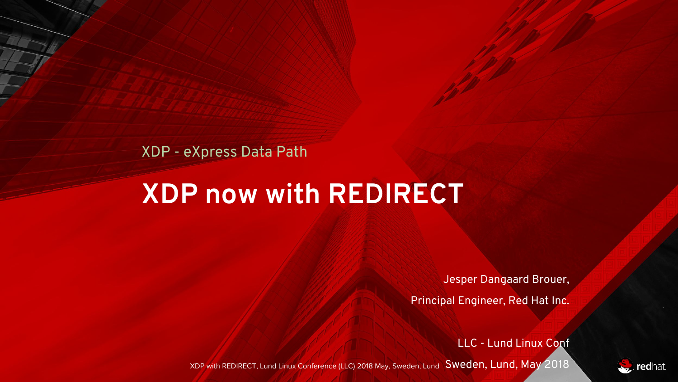#### XDP - eXpress Data Path

# **XDP now with REDIRECT**

Jesper Dangaard Brouer,

Principal Engineer, Red Hat Inc.

LLC - Lund Linux Conf

XDP with REDIRECT, Lund Linux Conference (LLC) 2018 May, Sweden, Lund SWeden, Lund, May 2018

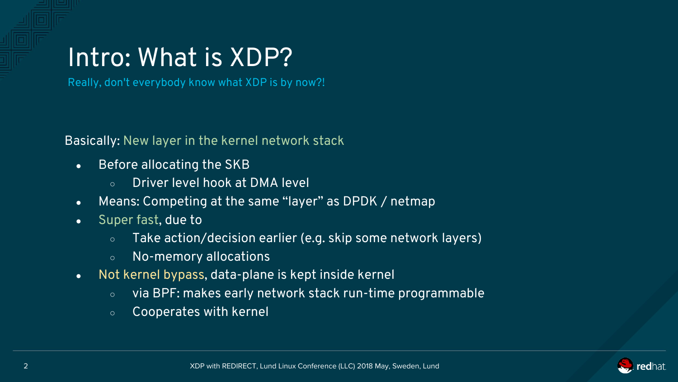#### Intro: What is XDP?

Really, don't everybody know what XDP is by now?!

Basically: New layer in the kernel network stack

- Before allocating the SKB
	- Driver level hook at DMA level
- Means: Competing at the same "layer" as DPDK / netmap
- Super fast, due to
	- Take action/decision earlier (e.g. skip some network layers)
	- No-memory allocations
- Not kernel bypass, data-plane is kept inside kernel
	- via BPF: makes early network stack run-time programmable
	- Cooperates with kernel

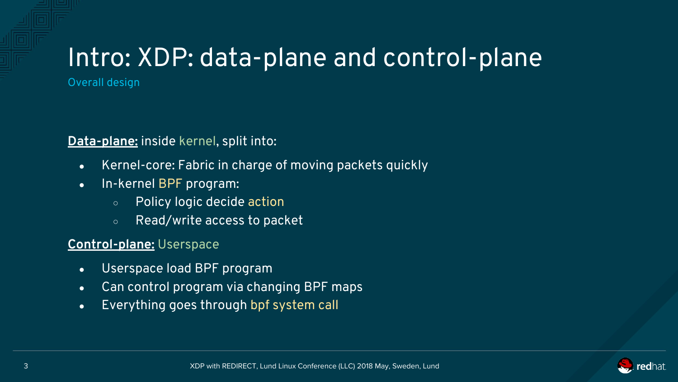# Intro: XDP: data-plane and control-plane

Overall design

**Data-plane:** inside kernel, split into:

- Kernel-core: Fabric in charge of moving packets quickly
- In-kernel BPF program:
	- Policy logic decide action
	- Read/write access to packet

#### **Control-plane:** Userspace

- Userspace load BPF program
- Can control program via changing BPF maps
- Everything goes through bpf system call

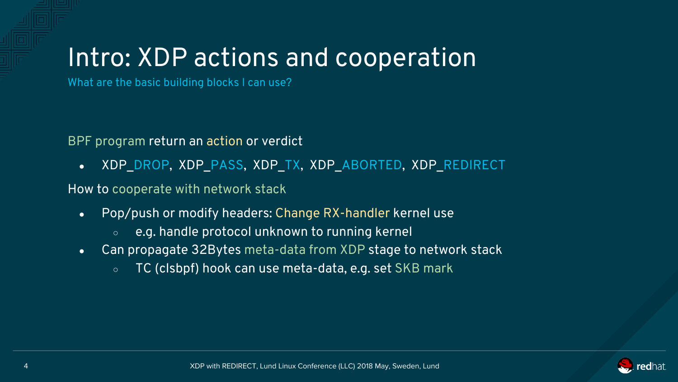### Intro: XDP actions and cooperation

What are the basic building blocks I can use?

BPF program return an action or verdict

• XDP\_DROP, XDP\_PASS, XDP\_TX, XDP\_ABORTED, XDP\_REDIRECT

How to cooperate with network stack

- Pop/push or modify headers: Change RX-handler kernel use
	- $\circ$  e.g. handle protocol unknown to running kernel
- Can propagate 32Bytes meta-data from XDP stage to network stack
	- TC (clsbpf) hook can use meta-data, e.g. set SKB mark

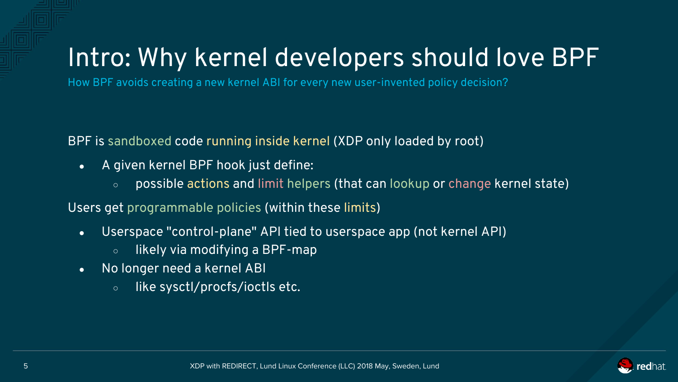### Intro: Why kernel developers should love BPF

How BPF avoids creating a new kernel ABI for every new user-invented policy decision?

BPF is sandboxed code running inside kernel (XDP only loaded by root)

- A given kernel BPF hook just define:
	- $\circ$  possible actions and limit helpers (that can lookup or change kernel state)

Users get programmable policies (within these limits)

- Userspace "control-plane" API tied to userspace app (not kernel API)
	- $\circ$  likely via modifying a BPF-map
- No longer need a kernel ABI
	- like sysctl/procfs/ioctls etc.

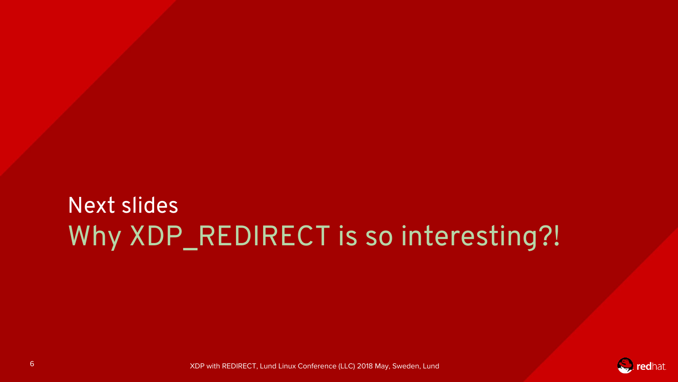#### Next slides Why XDP\_REDIRECT is so interesting?!

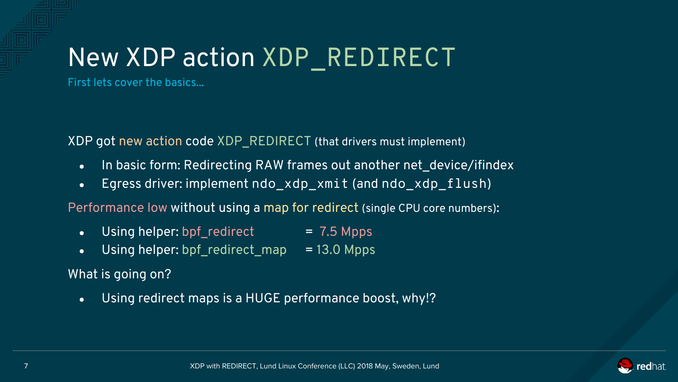# New XDP action XDP\_REDIRECT

First lets cover the basics...

XDP got new action code XDP\_REDIRECT (that drivers must implement)

- In basic form: Redirecting RAW frames out another net\_device/ifindex
- Egress driver: implement ndo xdp xmit (and ndo xdp flush)

Performance low without using a map for redirect (single CPU core numbers):

- Using helper:  $bpf\_redirect$  = 7.5 Mpps
- Using helper: bpf\_redirect\_map =  $13.0$  Mpps

What is going on?

• Using redirect maps is a HUGE performance boost, why!?

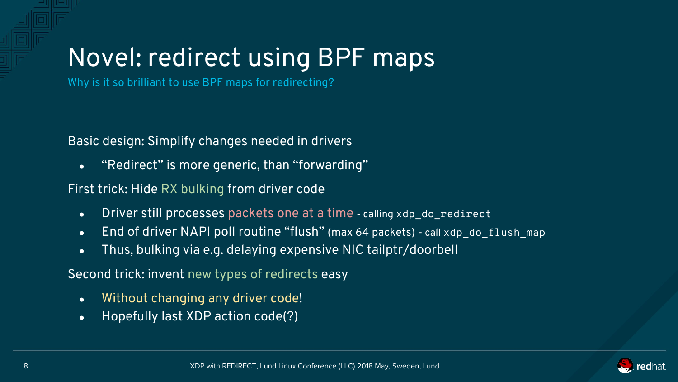# Novel: redirect using BPF maps

Why is it so brilliant to use BPF maps for redirecting?

Basic design: Simplify changes needed in drivers

• "Redirect" is more generic, than "forwarding"

#### First trick: Hide RX bulking from driver code

- Driver still processes packets one at a time calling xdp\_do\_redirect
- End of driver NAPI poll routine "flush" (max 64 packets) call xdp\_do\_flush\_map
- Thus, bulking via e.g. delaying expensive NIC tailptr/doorbell

Second trick: invent new types of redirects easy

- Without changing any driver code!
- Hopefully last XDP action code(?)

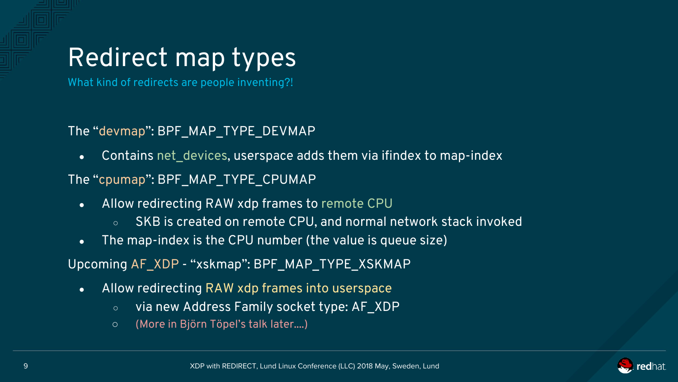# Redirect map types

What kind of redirects are people inventing?!

#### The "devmap": BPF\_MAP\_TYPE\_DEVMAP

• Contains net devices, userspace adds them via ifindex to map-index

The "cpumap": BPF\_MAP\_TYPE\_CPUMAP

- Allow redirecting RAW xdp frames to remote CPU
	- $\circ$  SKB is created on remote CPU, and normal network stack invoked
- The map-index is the CPU number (the value is queue size)
- Upcoming AF\_XDP "xskmap": BPF\_MAP\_TYPE\_XSKMAP
	- Allow redirecting RAW xdp frames into userspace
		- via new Address Family socket type: AF\_XDP
		- (More in Björn Töpel's talk later....)

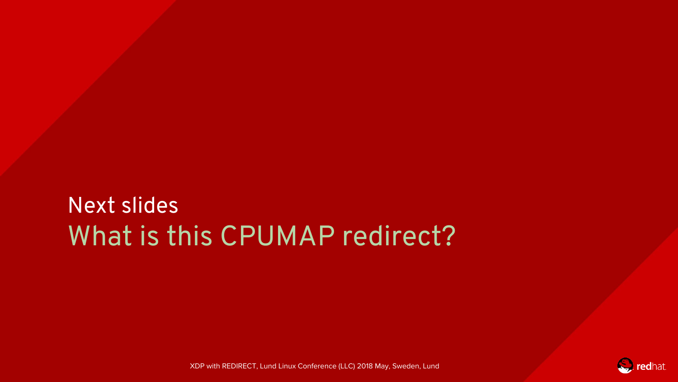#### Next slides What is this CPUMAP redirect?



XDP with REDIRECT, Lund Linux Conference (LLC) 2018 May, Sweden, Lund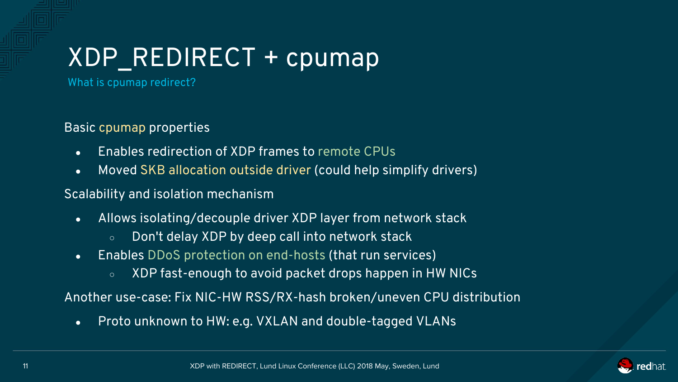# XDP\_REDIRECT + cpumap

What is cpumap redirect?

Basic cpumap properties

- Enables redirection of XDP frames to remote CPUs
- Moved SKB allocation outside driver (could help simplify drivers)

Scalability and isolation mechanism

- Allows isolating/decouple driver XDP layer from network stack
	- Don't delay XDP by deep call into network stack
- Enables DDoS protection on end-hosts (that run services)
	- XDP fast-enough to avoid packet drops happen in HW NICs

Another use-case: Fix NIC-HW RSS/RX-hash broken/uneven CPU distribution

• Proto unknown to HW: e.g. VXLAN and double-tagged VLANs

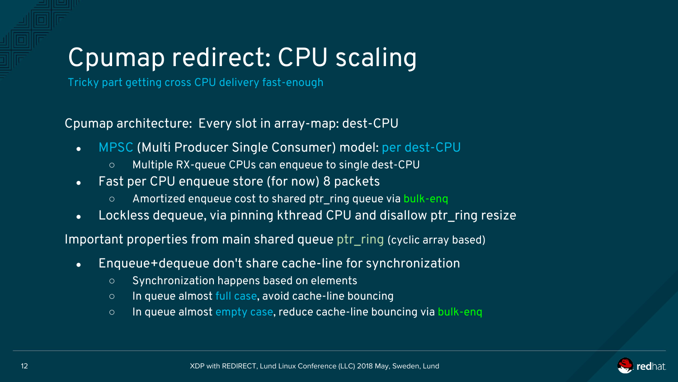# Cpumap redirect: CPU scaling

Tricky part getting cross CPU delivery fast-enough

Cpumap architecture: Every slot in array-map: dest-CPU

- MPSC (Multi Producer Single Consumer) model: per dest-CPU
	- Multiple RX-queue CPUs can enqueue to single dest-CPU
- Fast per CPU enqueue store (for now) 8 packets
	- Amortized enqueue cost to shared ptr\_ring queue via bulk-enq
- Lockless dequeue, via pinning kthread CPU and disallow ptraing resize

Important properties from main shared queue ptr\_ring (cyclic array based)

- Enqueue+dequeue don't share cache-line for synchronization
	- Synchronization happens based on elements
	- In queue almost full case, avoid cache-line bouncing
	- In queue almost empty case, reduce cache-line bouncing via bulk-enq

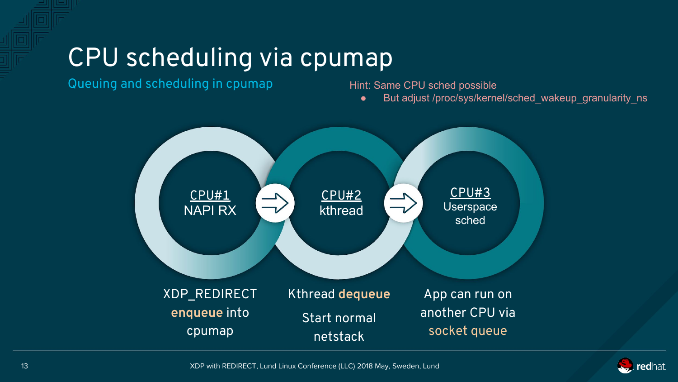### CPU scheduling via cpumap

Queuing and scheduling in cpumap

Hint: Same CPU sched possible

But adjust /proc/sys/kernel/sched\_wakeup\_granularity\_ns



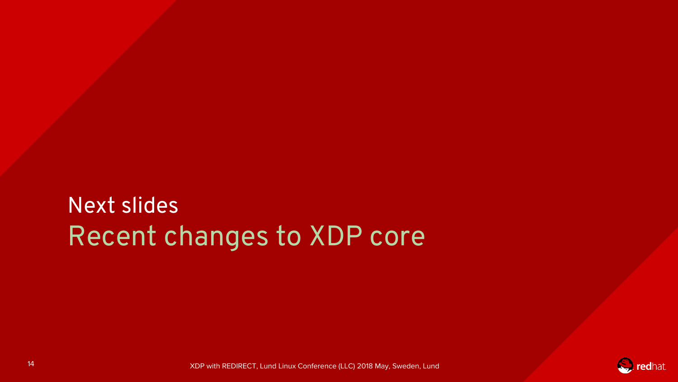#### Next slides Recent changes to XDP core

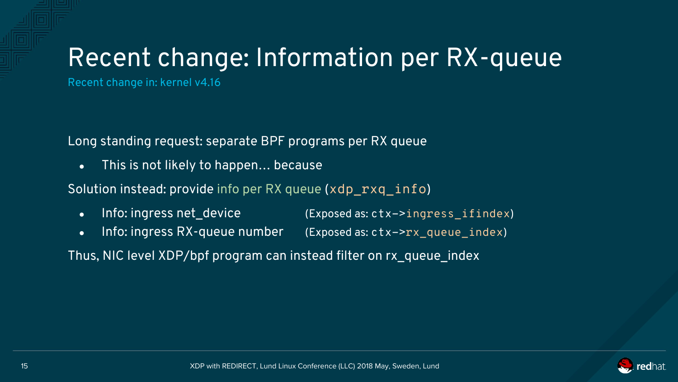# Recent change: Information per RX-queue

Recent change in: kernel v4.16

Long standing request: separate BPF programs per RX queue

• This is not likely to happen... because

Solution instead: provide info per RX queue (xdp\_rxq\_info)

- Info: ingress net\_device (Exposed as: ctx->ingress\_ifindex)
- Info: ingress RX-queue number (Exposed as: ctx->rx\_queue\_index)

Thus, NIC level XDP/bpf program can instead filter on rx\_queue\_index

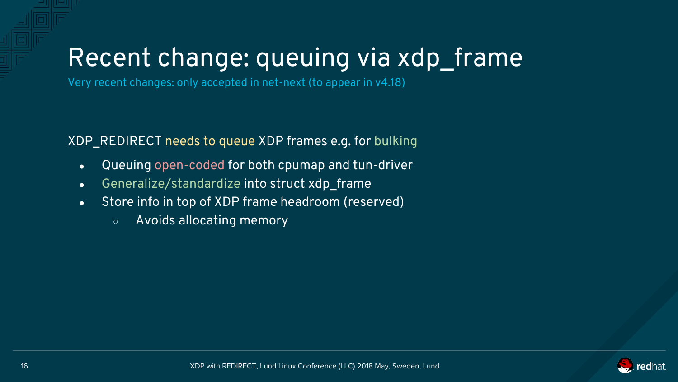# Recent change: queuing via xdp\_frame

Very recent changes: only accepted in net-next (to appear in v4.18)

XDP\_REDIRECT needs to queue XDP frames e.g. for bulking

- Queuing open-coded for both cpumap and tun-driver
- Generalize/standardize into struct xdp frame
- Store info in top of XDP frame headroom (reserved)
	- Avoids allocating memory

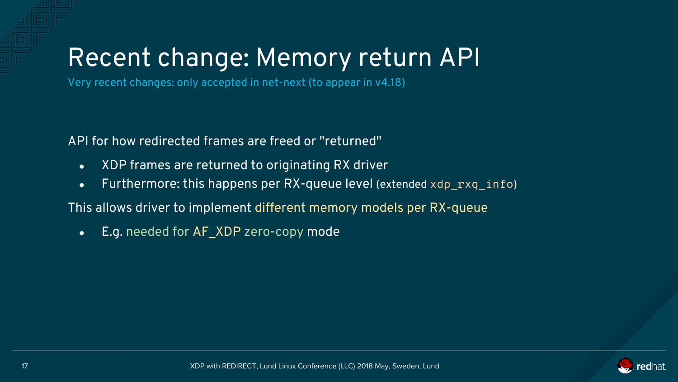# Recent change: Memory return API

Very recent changes: only accepted in net-next (to appear in v4.18)

API for how redirected frames are freed or "returned"

- XDP frames are returned to originating RX driver
- Furthermore: this happens per  $RX$ -queue level (extended  $xdp$  rxq  $info$ )

This allows driver to implement different memory models per RX-queue

• E.g. needed for AF\_XDP zero-copy mode

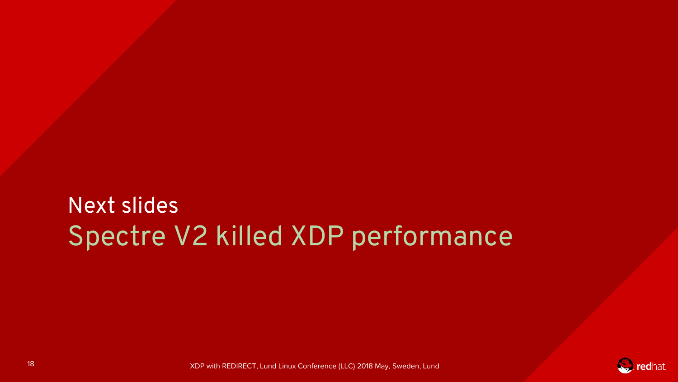#### Next slides Spectre V2 killed XDP performance

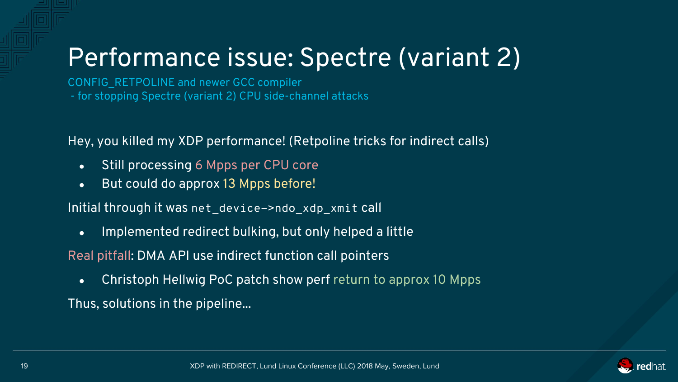# Performance issue: Spectre (variant 2)

CONFIG\_RETPOLINE and newer GCC compiler - for stopping Spectre (variant 2) CPU side-channel attacks

Hey, you killed my XDP performance! (Retpoline tricks for indirect calls)

- Still processing 6 Mpps per CPU core
- But could do approx 13 Mpps before!

Initial through it was net\_device->ndo\_xdp\_xmit call

• Implemented redirect bulking, but only helped a little

Real pitfall: DMA API use indirect function call pointers

• Christoph Hellwig PoC patch show perf return to approx 10 Mpps

Thus, solutions in the pipeline...

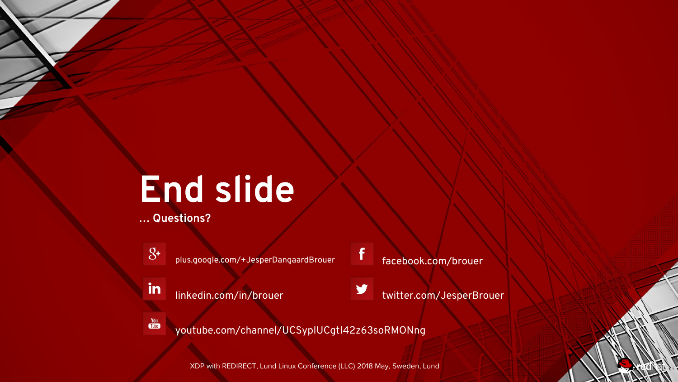# **End slide**

**… Questions?**



**You** 

plus.google.com/+JesperDangaardBrouer

in linkedin.com/in/brouer facebook.com/brouer

f



youtube.com/channel/UCSypIUCgtI42z63soRMONng

XDP with REDIRECT, Lund Linux Conference (LLC) 2018 May, Sweden, Lund